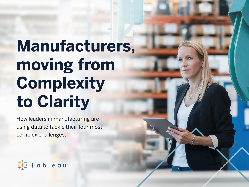# **Manufacturers, moving from Complexity to Clarity**

How leaders in manufacturing are using data to tackle their four most complex challenges.

 $+\frac{1}{1}+$  + a b | e a u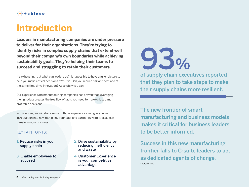#### $\frac{1}{4} + \frac{1}{4} + a b \mid e a v$

### **Introduction**

**Leaders in manufacturing companies are under pressure to deliver for their organisations. They're trying to identify risks in complex supply chains that extend well beyond their company's own boundaries while achieving sustainability goals. They're helping their teams to succeed and struggling to retain their customers.**

It's exhausting, but what can leaders do? Is it possible to have a fuller picture to help you make critical decisions? Yes, it is. Can you reduce risk and cost and at the same time drive innovation? Absolutely you can.

Our experience with manufacturing companies has proven that leveraging the right data creates the free flow of facts you need to make critical, and profitable decisions.

In this ebook, we will share some of those experiences and give you an introduction into how rethinking your data and partnering with Tableau can transform your business.

#### KEY PAIN POINTS:

- 1. Reduce risks in your supply chain
- 3. Enable employees to succeed
- 2. Drive sustainability by reducing inefficiency and waste
- 4. Customer Experience is your competitive advantage



of supply chain executives reported that they plan to take steps to make their supply chains more resilient.

The new frontier of smart manufacturing and business models makes it critical for business leaders to be better informed.

Success in this new manufacturing frontier falls to C-suite leaders to act as dedicated agents of change. Source: [KPMG](https://assets.kpmg/content/dam/kpmg/xx/pdf/2018/11/a-reality-check-for-todays-c-suite-on-industry-4-0.pdf)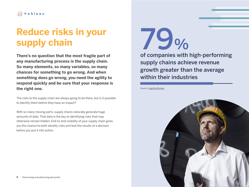# **Reduce risks in your supply chain**

**There's no question that the most fragile part of any manufacturing process is the supply chain. So many elements, so many variables, so many chances for something to go wrong. And when something does go wrong, you need the agility to respond quickly and be sure that your response is the right one.**

The risks to the supply chain are always going to be there, but is it possible to identify them before they have an impact?

With so many moving parts, supply chains naturally generate huge amounts of data. That data is the key to identifying risks that may otherwise remain hidden. End-to-end visibility of your supply chain gives you the chance to both identify risks and test the results of a decision before you put it into action.

# 79%

of companies with high-performing supply chains achieve revenue growth greater than the average within their industries

Source: [LogisticsBureau](https://www.logisticsbureau.com/8-reasons-why-the-supply-chain-matters-to-business-success/)

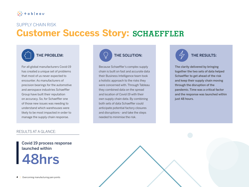#### SUPPLY CHAIN RISK

### **Customer Success Story:**



For all global manufacturers Covid-19 has created a unique set of problems that most of us never expected to encounter. As manufacturers of precision bearings for the automotive and aerospace industries Schaeffler Group have built their reputation on accuracy. So, for Schaeffler one of those new issues was needing to understand which warehouses were likely to be most impacted in order to manage the supply chain response.

#### RESULTS AT A GLANCE:

Covid 19 process response launched within





Because Schaeffler's complex supply chain is built on fast and accurate data their Business Intelligence team took a holistic approach to the risks they were concerned with. Through Tableau they combined data on the spread and location of Covid-19 with their own supply chain data. By combining both sets of data Schaeffler could anticipate potential factory closures and disruptions - and take the steps needed to minimise the risk.



The clarity delivered by bringing together the two sets of data helped Schaeffler to get ahead of the risk and keep their supply chain moving through the disruption of the pandemic. Time was a critical factor and the response was launched within just 48 hours.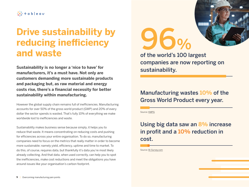### **Drive sustainability by reducing inefficiency and waste** of the world's 100 largest

**Sustainability is no longer a 'nice to have' for manufacturers, it's a must have. Not only are customers demanding more sustainable products and packaging but, as raw material and energy costs rise, there's a financial necessity for better sustainability within manufacturing.**

However the global supply chain remains full of inefficiencies. Manufacturing accounts for over 50% of the gross world product (GWP) and 20% of every dollar the sector spends is wasted. That's fully 10% of everything we make worldwide lost to inefficiencies and waste.

Sustainability makes business sense because simply, it helps you to reduce that waste. It means concentrating on reducing costs and pushing for efficiencies across your entire organisation. To do so, manufacturing companies need to focus on the metrics that really matter in order to become more sustainable; namely yield, efficiency, uptime and time to market. To do this, of course, requires data, but thankfully it's data you're most likely already collecting. And that data, when used correctly, can help you to spot the inefficiencies, make cost reductions and meet the obligations you have around issues like your organisation's carbon footprint.





companies are now reporting on sustainability.

### Manufacturing wastes **10%** of the Gross World Product every year.

Source: [KMPG](https://assets.kpmg/content/dam/kpmg/xx/pdf/2020/11/the-time-has-come.pdf)

### Using big data saw an **8%** increase in profit and a **10%** reduction in cost.

Source: [Bi-Survey.com](https://bi-survey.com/big-data-benefits)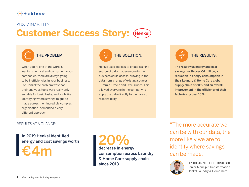$\frac{1}{4} + \frac{1}{4} + \frac{1}{4} + \frac{1}{4} + \frac{1}{4} + \frac{1}{4} + \frac{1}{4} + \frac{1}{4} + \frac{1}{4} + \frac{1}{4} + \frac{1}{4} + \frac{1}{4} + \frac{1}{4} + \frac{1}{4} + \frac{1}{4} + \frac{1}{4} + \frac{1}{4} + \frac{1}{4} + \frac{1}{4} + \frac{1}{4} + \frac{1}{4} + \frac{1}{4} + \frac{1}{4} + \frac{1}{4} + \frac{1}{4} + \frac{1}{4} + \frac{1}{4} + \frac{1$ 

#### SUSTAINABILITY

### **Customer Success Story:**

When you're one of the world's leading chemical and consumer goods companies, there are always going to be inefficiencies in your business. For Henkel the problem was that their analytics tools were really only suitable for basic tasks, and a job like identifying where savings might be made across their incredibly complex organisation, demanded a very different approach.



Henkel used Tableau to create a single source of data that everyone in the business could access, drawing in the data from a range of existing sources - Dremio, Oracle and Excel Cubes. This allowed everyone in the company to apply the data directly to their area of responsibility.



The result was energy and cost savings worth over €4 million, a reduction in energy consumption in their Laundry & Home Care global supply chain of 20% and an overall improvement in the efficiency of their factories by over 10%.

#### RESULTS AT A GLANCE:

In 2019 Henkel identified energy and cost savings worth

€4m

decrease in energy consumption across Laundry & Home Care supply chain since 2013 20%

"The more accurate we can be with our data, the more likely we are to identify where savings can be made."



DR JOHANNES HOLTBRUEGGE Senior Manager Transformation Henkel Laundry & Home Care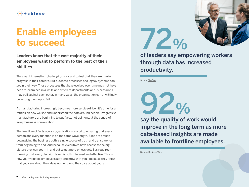## **Enable employees to succeed**

**Leaders know that the vast majority of their employees want to perform to the best of their abilities.** 

They want interesting, challenging work and to feel that they are making progress in their careers. But outdated processes and legacy systems can get in their way. Those processes that have evolved over time may not have been re-examined in a while and different departments or business units may pull against each other. In many ways, the organisation can unwittingly be setting them up to fail.

As manufacturing increasingly becomes more service-driven it's time for a rethink on how we see and understand the data around people. Progressive manufacturers are beginning to put facts, not opinions, at the centre of every business conversation.

The free flow of facts across organisations is vital to ensuring that every person and every function is on the same wavelength. Silos are broken down giving the business both a single source of truth and transparency from beginning to end. And because executives have access to the big picture they can zoom in and out to get more or less detail as required meaning that every decision taken is both informed and effective. This is how your valuable employees stay and grow with you - because they know that you care about their development. And they care about yours.





of leaders say empowering workers through data has increased productivity.

Source: [YouGov](https://www.tableau.com/about/press-releases/2020/yougov-survey-finds-80-data-driven-businesses-claim-they-have-critical)

say the quality of work would improve in the long term as more 92%

data-based insights are made available to frontline employees.

Source: [BusinessWire](http://www.businesswire.com/news/home/20200505005195/en/Nearly-90-of-Organizations-Say-Success-Depends-on-Data-Driven-Decisions-Made-by-Frontline-Employees-According-to-New-Report)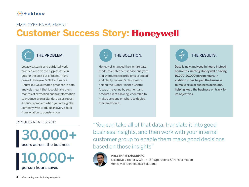#### EMPLOYEE ENABLEMENT

# **Customer Success Story:**



Legacy systems and outdated work practices can be the biggest issue in getting the best out of teams. In the case of Honeywell's Global Finance Centre (GFC), outdated practices in data analysis meant that it could take them months of extraction and transformation to produce even a standard sales report. A serious problem when you are a global company with products in every sector from aviation to construction.

#### RESULTS AT A GLANCE:







Honeywell changed their entire data model to enable self-service analytics and overcome the problems of speed and clarity. Tableau's dashboards helped the Global Finance Centre focus on revenue by segment and product client allowing leadership to make decisions on where to deploy their salesforce.



Data is now analysed in hours instead of months, netting Honeywell a saving 10,000-20,000 person hours. In addition it has helped the business to make crucial business decisions, helping keep the business on track for its objectives.

"You can take all of that data, translate it into good business insights, and then work with your internal customer group to enable them make good decisions based on those insights"



PREETHAM SHANBHAG Executive Director & GM - FP&A Operations & Transformation Honeywell Technologies Solutions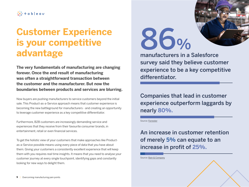# **Customer Experience is your competitive advantage** manufacturers in a Salesforce

**The very fundamentals of manufacturing are changing forever. Once the end result of manufacturing was often a straightforward transaction between the customer and the manufacturer. But now the boundaries between products and services are blurring.**

Now buyers are pushing manufacturers to service customers beyond the initial sale. This Product-as-a-Service approach means that customer experience is becoming the new battleground for manufacturers - and creating an opportunity to leverage customer experience as a key competitive differentiator.

Furthermore, B2B customers are increasingly demanding service and experiences that they receive from their favourite consumer brands, in entertainment, retail or even financial services.

To get the holistic view of your customers that make approaches like Productas-a-Service possible means using every piece of data that you have about them. Giving your customers a consistently excellent experience that will keep them with you requires real time insights. It means that you need to analyse your customer journey at every single touchpoint, identifying gaps and constantly looking for new ways to delight them.





survey said they believe customer experience to be a key competitive differentiator.

Companies that lead in customer experience outperform laggards by nearly **80%.**

Source: [Forrester](https://www.qualtrics.com/blog/forrester-economic-impact-of-experience-management/)

An increase in customer retention of merely **5%** can equate to an increase in profit of **25%.**

Source: [Bain & Company](https://media.bain.com/Images/BB_Prescription_cutting_costs.pdf)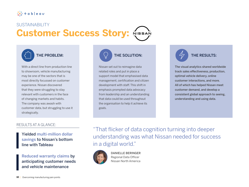#### SUSTAINABILITY

### **Customer Success Story:** NISSAN



With a direct line from production line to showroom, vehicle manufacturing may be one of the sectors that is most directly focussed on customer experience. Nissan discovered that they were struggling to stay relevant with customers in the face of changing markets and habits. The company was awash with customer data, but struggling to use it strategically.

# THE PROBLEM: THE SOLUTION:  $\langle \rangle$  and the solution:

Nissan set out to reimagine data related roles and put in place a support model that emphasised data management, certification and citizen development with staff. This shift in emphasis prompted data advocacy from leadership and an understanding that data could be used throughout the organisation to help it achieve its goals.



The visual analytics shared worldwide track sales effectiveness, production, optimal vehicle delivery, online customer interactions, and more. All of which has helped Nissan meet customer demand, and develop a consistent global approach to seeing, understanding and using data.

#### RESULTS AT A GLANCE:

Yielded multi-million dollar savings to Nissan's bottom line with Tableau

Reduced warranty claims by anticipating customer needs and vehicle maintenance

"That flicker of data cognition turning into deeper understanding was what Nissan needed for success in a digital world."



DANIELLE BERINGER Regional Data Officer Nissan North America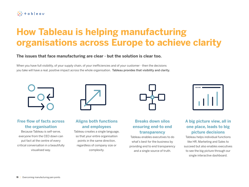## **How Tableau is helping manufacturing organisations across Europe to achieve clarity**

#### **The issues that face manufacturing are clear - but the solution is clear too.**

When you have full visibility, of your supply chain, of your inefficiencies and of your customer - then the decisions you take will have a real, positive impact across the whole organisation. Tableau provides that visibility and clarity.



#### **Free flow of facts across the organisation**

Because Tableau is self-serve, everyone from the CEO down can put fact at the centre of every critical conversation in a beautifully visualised way.

#### **Aligns both functions and employees**

Tableau creates a single language, so that your entire organisation points in the same direction, regardless of company size or complexity.



#### **Breaks down silos ensuring end-to end transparency**

Tableau enables executives to do what's best for the business by providing end to end transparency and a single source of truth.



#### **A big picture view, all in one place, leads to big picture decisions**

Tableau helps individual functions like HR, Marketing and Sales to succeed but also enables executives to see the big picture through our single interactive dashboard.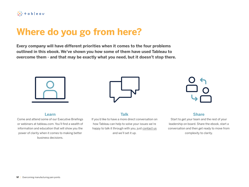## **Where do you go from here?**

**Every company will have different priorities when it comes to the four problems outlined in this ebook. We've shown you how some of them have used Tableau to overcome them - and that may be exactly what you need, but it doesn't stop there.**



#### **Learn**

Come and attend some of our Executive Briefings or webinars at tableau.com. You'll find a wealth of information and education that will show you the power of clarity when it comes to making better business decisions.



#### **Talk**

If you'd like to have a more direct conversation on how Tableau can help to solve your issues we're happy to talk it through with you, just [contact us](https://www.tableau.com/about/contact) and we'll set it up.



#### **Share**

Start to get your team and the rest of your leadership on board. Share the ebook, start a conversation and then get ready to move from complexity to clarity.